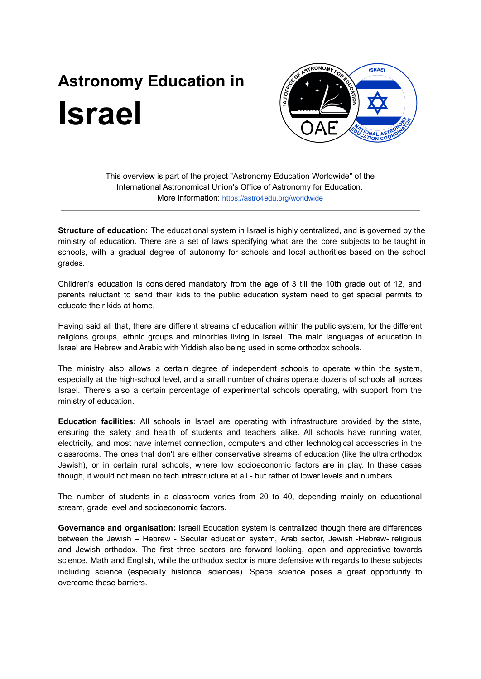## **Astronomy Education in Israel**



This overview is part of the project "Astronomy Education Worldwide" of the International Astronomical Union's Office of Astronomy for Education. More information: <https://astro4edu.org/worldwide>

**Structure of education:** The educational system in Israel is highly centralized, and is governed by the ministry of education. There are a set of laws specifying what are the core subjects to be taught in schools, with a gradual degree of autonomy for schools and local authorities based on the school grades.

Children's education is considered mandatory from the age of 3 till the 10th grade out of 12, and parents reluctant to send their kids to the public education system need to get special permits to educate their kids at home.

Having said all that, there are different streams of education within the public system, for the different religions groups, ethnic groups and minorities living in Israel. The main languages of education in Israel are Hebrew and Arabic with Yiddish also being used in some orthodox schools.

The ministry also allows a certain degree of independent schools to operate within the system, especially at the high-school level, and a small number of chains operate dozens of schools all across Israel. There's also a certain percentage of experimental schools operating, with support from the ministry of education.

**Education facilities:** All schools in Israel are operating with infrastructure provided by the state, ensuring the safety and health of students and teachers alike. All schools have running water, electricity, and most have internet connection, computers and other technological accessories in the classrooms. The ones that don't are either conservative streams of education (like the ultra orthodox Jewish), or in certain rural schools, where low socioeconomic factors are in play. In these cases though, it would not mean no tech infrastructure at all - but rather of lower levels and numbers.

The number of students in a classroom varies from 20 to 40, depending mainly on educational stream, grade level and socioeconomic factors.

**Governance and organisation:** Israeli Education system is centralized though there are differences between the Jewish – Hebrew - Secular education system, Arab sector, Jewish -Hebrew- religious and Jewish orthodox. The first three sectors are forward looking, open and appreciative towards science, Math and English, while the orthodox sector is more defensive with regards to these subjects including science (especially historical sciences). Space science poses a great opportunity to overcome these barriers.